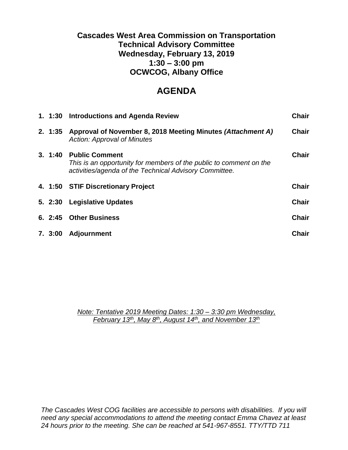# **Cascades West Area Commission on Transportation Technical Advisory Committee Wednesday, February 13, 2019 1:30 – 3:00 pm OCWCOG, Albany Office**

# **AGENDA**

|        | 1. 1:30 Introductions and Agenda Review                                                                                                               | <b>Chair</b> |
|--------|-------------------------------------------------------------------------------------------------------------------------------------------------------|--------------|
| 2.1:35 | Approval of November 8, 2018 Meeting Minutes (Attachment A)<br><b>Action: Approval of Minutes</b>                                                     | <b>Chair</b> |
| 3.1:40 | <b>Public Comment</b><br>This is an opportunity for members of the public to comment on the<br>activities/agenda of the Technical Advisory Committee. | <b>Chair</b> |
|        |                                                                                                                                                       |              |
|        | 4. 1:50 STIF Discretionary Project                                                                                                                    | <b>Chair</b> |
| 5.2:30 | <b>Legislative Updates</b>                                                                                                                            | <b>Chair</b> |
|        | 6. 2:45 Other Business                                                                                                                                | <b>Chair</b> |

*Note: Tentative 2019 Meeting Dates: 1:30 – 3:30 pm Wednesday, February 13th, May 8th, August 14th , and November 13th*

*The Cascades West COG facilities are accessible to persons with disabilities. If you will need any special accommodations to attend the meeting contact Emma Chavez at least 24 hours prior to the meeting. She can be reached at 541-967-8551. TTY/TTD 711*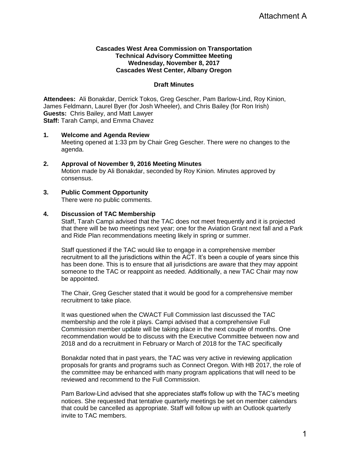# **Cascades West Area Commission on Transportation Technical Advisory Committee Meeting Wednesday, November 8, 2017 Cascades West Center, Albany Oregon**

# **Draft Minutes**

**Attendees:** Ali Bonakdar, Derrick Tokos, Greg Gescher, Pam Barlow-Lind, Roy Kinion, James Feldmann, Laurel Byer (for Josh Wheeler), and Chris Bailey (for Ron Irish) **Guests:** Chris Bailey, and Matt Lawyer **Staff:** Tarah Campi, and Emma Chavez

- **1. Welcome and Agenda Review** Meeting opened at 1:33 pm by Chair Greg Gescher. There were no changes to the agenda.
- **2. Approval of November 9, 2016 Meeting Minutes** Motion made by Ali Bonakdar, seconded by Roy Kinion. Minutes approved by consensus.
- **3. Public Comment Opportunity** There were no public comments.

# **4. Discussion of TAC Membership**

Staff, Tarah Campi advised that the TAC does not meet frequently and it is projected that there will be two meetings next year; one for the Aviation Grant next fall and a Park and Ride Plan recommendations meeting likely in spring or summer.

Staff questioned if the TAC would like to engage in a comprehensive member recruitment to all the jurisdictions within the ACT. It's been a couple of years since this has been done. This is to ensure that all jurisdictions are aware that they may appoint someone to the TAC or reappoint as needed. Additionally, a new TAC Chair may now be appointed.

The Chair, Greg Gescher stated that it would be good for a comprehensive member recruitment to take place.

It was questioned when the CWACT Full Commission last discussed the TAC membership and the role it plays. Campi advised that a comprehensive Full Commission member update will be taking place in the next couple of months. One recommendation would be to discuss with the Executive Committee between now and 2018 and do a recruitment in February or March of 2018 for the TAC specifically Attachment A<br>
oy Kinion,<br>
ish)<br>
inges to the<br>
red by<br>
the vears since this<br>
y may appoint<br>
chair may now<br>
sive member<br>
sive member<br>
extraction<br>
ween now and<br>
ecifically<br>
y application<br>
017, the role of<br>
raction (of the ve

Bonakdar noted that in past years, the TAC was very active in reviewing application proposals for grants and programs such as Connect Oregon. With HB 2017, the role of the committee may be enhanced with many program applications that will need to be reviewed and recommend to the Full Commission.

Pam Barlow-Lind advised that she appreciates staffs follow up with the TAC's meeting notices. She requested that tentative quarterly meetings be set on member calendars that could be cancelled as appropriate. Staff will follow up with an Outlook quarterly invite to TAC members.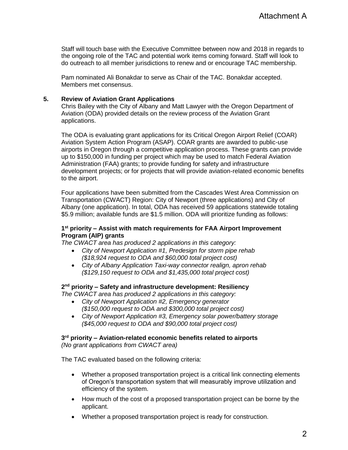Staff will touch base with the Executive Committee between now and 2018 in regards to the ongoing role of the TAC and potential work items coming forward. Staff will look to do outreach to all member jurisdictions to renew and or encourage TAC membership.

Pam nominated Ali Bonakdar to serve as Chair of the TAC. Bonakdar accepted. Members met consensus.

# **5. Review of Aviation Grant Applications**

Chris Bailey with the City of Albany and Matt Lawyer with the Oregon Department of Aviation (ODA) provided details on the review process of the Aviation Grant applications.

The ODA is evaluating grant applications for its Critical Oregon Airport Relief (COAR) Aviation System Action Program (ASAP). COAR grants are awarded to public-use airports in Oregon through a competitive application process. These grants can provide up to \$150,000 in funding per project which may be used to match Federal Aviation Administration (FAA) grants; to provide funding for safety and infrastructure development projects; or for projects that will provide aviation-related economic benefits to the airport.

Four applications have been submitted from the Cascades West Area Commission on Transportation (CWACT) Region: City of Newport (three applications) and City of Albany (one application). In total, ODA has received 59 applications statewide totaling \$5.9 million; available funds are \$1.5 million. ODA will prioritize funding as follows:

# **1 st priority – Assist with match requirements for FAA Airport Improvement Program (AIP) grants**

*The CWACT area has produced 2 applications in this category:* 

- *City of Newport Application #1, Predesign for storm pipe rehab (\$18,924 request to ODA and \$60,000 total project cost)*
- *City of Albany Application Taxi-way connector realign, apron rehab (\$129,150 request to ODA and \$1,435,000 total project cost)*

#### **2 nd priority – Safety and infrastructure development: Resiliency**

*The CWACT area has produced 2 applications in this category:* 

- *City of Newport Application #2, Emergency generator (\$150,000 request to ODA and \$300,000 total project cost)*
- *City of Newport Application #3, Emergency solar power/battery storage (\$45,000 request to ODA and \$90,000 total project cost)*

# **3 rd priority – Aviation-related economic benefits related to airports**

*(No grant applications from CWACT area)* 

The TAC evaluated based on the following criteria:

- Whether a proposed transportation project is a critical link connecting elements of Oregon's transportation system that will measurably improve utilization and efficiency of the system.
- How much of the cost of a proposed transportation project can be borne by the applicant.
- Whether a proposed transportation project is ready for construction.